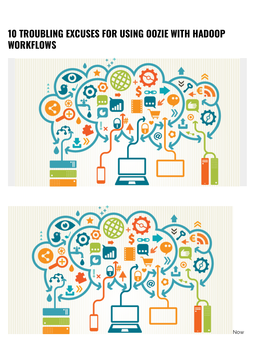## **10 TROUBLING EXCUSES FOR USING OOZIE WITH HADOOP WORKFLOWS**



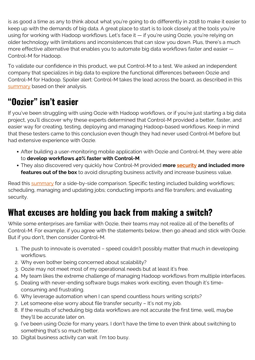is as good a time as any to think about what you're going to do differently in 2018 to make it easier to keep up with the demands of big data. A great place to start is to look closely at the tools you're using for working with Hadoop workflows. Let's face it — if you're using Oozie, you're relying on older technology with limitations and inconsistences that can slow you down. Plus, there's a much more effective alternative that enables you to automate big data workflows faster and easier — Control-M for Hadoop.

To validate our confidence in this product, we put Control-M to a test. We asked an independent company that specializes in big data to explore the functional differences between Oozie and Control-M for Hadoop. Spoiler alert: Control-M takes the lead across the board, as described in this [summary](http://documents.bmc.com/products/documents/73/32/497332/497332.pdf) based on their analysis.

## **"Oozier" isn't easier**

If you've been struggling with using Oozie with Hadoop workflows, or if you're just starting a big data project, you'll discover why these experts determined that Control-M provided a better, faster, and easier way for creating, testing, deploying and managing Hadoop-based workflows. Keep in mind that these testers came to this conclusion even though they had never used Control-M before but had extensive experience with Oozie.

- After building a user-monitoring mobile application with Oozie and Control-M, they were able to **develop workflows 40% faster with Control-M**.
- They also discovered very quickly how Control-M provided **more [security](https://blogs.bmc.com/blogs/security-vulnerability-vs-threat-vs-risk-whats-difference/) and included more features out of the box** to avoid disrupting business activity and increase business value.

Read this **summary** for a side-by-side comparison. Specific testing included building workflows; scheduling, managing and updating jobs; conducting imports and file transfers; and evaluating security.

## **What excuses are holding you back from making a switch?**

While some enterprises are familiar with Oozie, their teams may not realize all of the benefits of Control-M. For example, if you agree with the statements below, then go ahead and stick with Oozie. But if you don't, then consider Control-M.

- 1. The push to innovate is overrated speed couldn't possibly matter that much in developing workflows.
- 2. Why even bother being concerned about scalability?
- 3. Oozie may not meet most of my operational needs but at least it's free.
- 4. My team likes the extreme challenge of managing Hadoop workflows from multiple interfaces.
- 5. Dealing with never-ending software bugs makes work exciting, even though it's timeconsuming and frustrating.
- 6. Why leverage automation when I can spend countless hours writing scripts?
- 7. Let someone else worry about file transfer security It's not my job.
- 8. If the results of scheduling big data workflows are not accurate the first time, well, maybe they'll be accurate later on.
- 9. I've been using Oozie for many years. I don't have the time to even think about switching to something that's so much better.
- 10. Digital business activity can wait. I'm too busy.